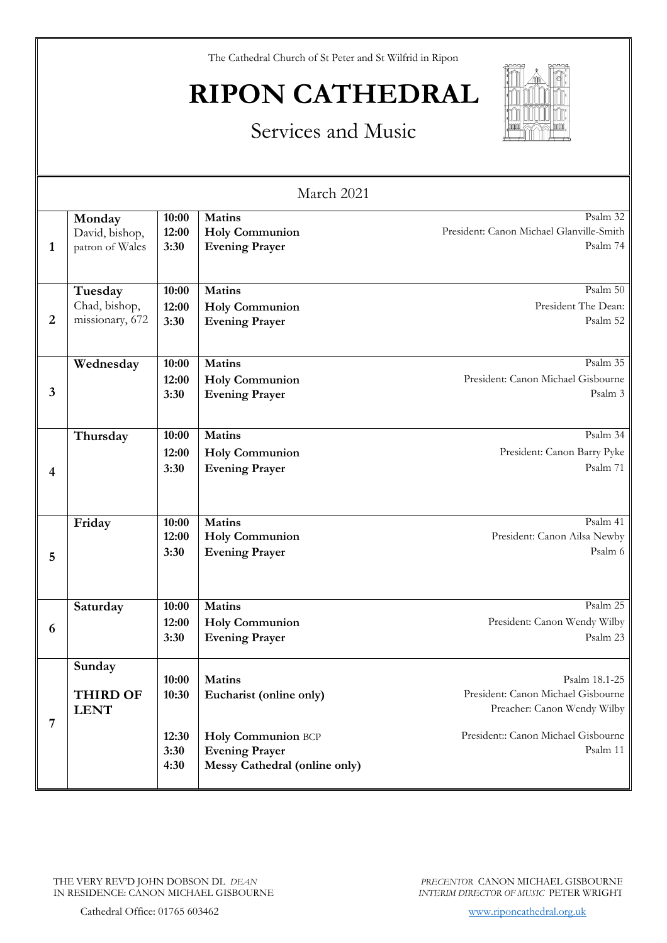The Cathedral Church of St Peter and St Wilfrid in Ripon

# **RIPON CATHEDRAL**



### Services and Music

| March 2021 |                                             |                        |                                                                              |                                                                                    |
|------------|---------------------------------------------|------------------------|------------------------------------------------------------------------------|------------------------------------------------------------------------------------|
| 1          | Monday<br>David, bishop,<br>patron of Wales | 10:00<br>12:00<br>3:30 | Matins<br><b>Holy Communion</b><br><b>Evening Prayer</b>                     | Psalm 32<br>President: Canon Michael Glanville-Smith<br>Psalm 74                   |
| 2          | Tuesday<br>Chad, bishop,<br>missionary, 672 | 10:00<br>12:00<br>3:30 | <b>Matins</b><br><b>Holy Communion</b><br><b>Evening Prayer</b>              | Psalm 50<br>President The Dean:<br>Psalm 52                                        |
| 3          | Wednesday                                   | 10:00<br>12:00<br>3:30 | <b>Matins</b><br><b>Holy Communion</b><br><b>Evening Prayer</b>              | Psalm 35<br>President: Canon Michael Gisbourne<br>Psalm 3                          |
| 4          | Thursday                                    | 10:00<br>12:00<br>3:30 | Matins<br><b>Holy Communion</b><br><b>Evening Prayer</b>                     | Psalm 34<br>President: Canon Barry Pyke<br>Psalm 71                                |
| 5          | Friday                                      | 10:00<br>12:00<br>3:30 | Matins<br><b>Holy Communion</b><br><b>Evening Prayer</b>                     | Psalm 41<br>President: Canon Ailsa Newby<br>Psalm 6                                |
| 6          | Saturday                                    | 10:00<br>12:00<br>3:30 | Matins<br><b>Holy Communion</b><br><b>Evening Prayer</b>                     | Psalm 25<br>President: Canon Wendy Wilby<br>Psalm 23                               |
| 7          | Sunday<br><b>THIRD OF</b><br><b>LENT</b>    | 10:00<br>10:30         | <b>Matins</b><br>Eucharist (online only)                                     | Psalm 18.1-25<br>President: Canon Michael Gisbourne<br>Preacher: Canon Wendy Wilby |
|            |                                             | 12:30<br>3:30<br>4:30  | Holy Communion BCP<br><b>Evening Prayer</b><br>Messy Cathedral (online only) | President:: Canon Michael Gisbourne<br>Psalm 11                                    |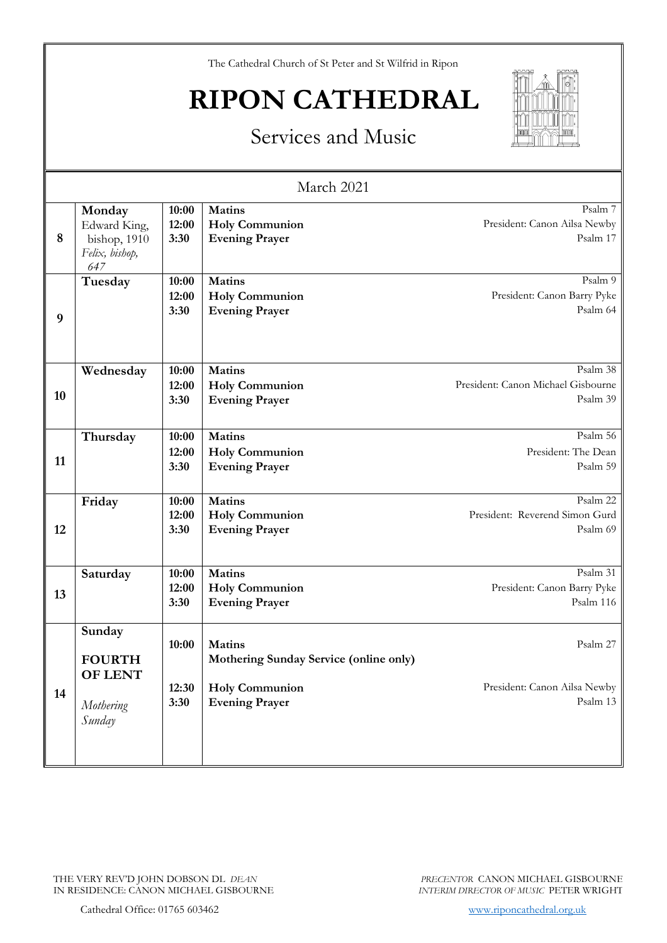The Cathedral Church of St Peter and St Wilfrid in Ripon

# **RIPON CATHEDRAL**

### Services and Music



| March 2021 |                                                                 |                        |                                                                 |                                                            |  |
|------------|-----------------------------------------------------------------|------------------------|-----------------------------------------------------------------|------------------------------------------------------------|--|
| 8          | Monday<br>Edward King,<br>bishop, 1910<br>Felix, bishop,<br>647 | 10:00<br>12:00<br>3:30 | <b>Matins</b><br><b>Holy Communion</b><br><b>Evening Prayer</b> | Psalm 7<br>President: Canon Ailsa Newby<br>Psalm 17        |  |
| 9          | Tuesday                                                         | 10:00<br>12:00<br>3:30 | <b>Matins</b><br><b>Holy Communion</b><br><b>Evening Prayer</b> | Psalm 9<br>President: Canon Barry Pyke<br>Psalm 64         |  |
| 10         | Wednesday                                                       | 10:00<br>12:00<br>3:30 | <b>Matins</b><br><b>Holy Communion</b><br><b>Evening Prayer</b> | Psalm 38<br>President: Canon Michael Gisbourne<br>Psalm 39 |  |
| 11         | Thursday                                                        | 10:00<br>12:00<br>3:30 | <b>Matins</b><br><b>Holy Communion</b><br><b>Evening Prayer</b> | Psalm 56<br>President: The Dean<br>Psalm 59                |  |
| 12         | Friday                                                          | 10:00<br>12:00<br>3:30 | <b>Matins</b><br><b>Holy Communion</b><br><b>Evening Prayer</b> | Psalm 22<br>President: Reverend Simon Gurd<br>Psalm 69     |  |
| 13         | Saturday                                                        | 10:00<br>12:00<br>3:30 | <b>Matins</b><br><b>Holy Communion</b><br><b>Evening Prayer</b> | Psalm 31<br>President: Canon Barry Pyke<br>Psalm 116       |  |
| 14         | Sunday<br><b>FOURTH</b><br>OF LENT                              | 10:00                  | <b>Matins</b><br>Mothering Sunday Service (online only)         | Psalm 27                                                   |  |
|            | Mothering<br>Sunday                                             | 12:30<br>3:30          | <b>Holy Communion</b><br><b>Evening Prayer</b>                  | President: Canon Ailsa Newby<br>Psalm 13                   |  |